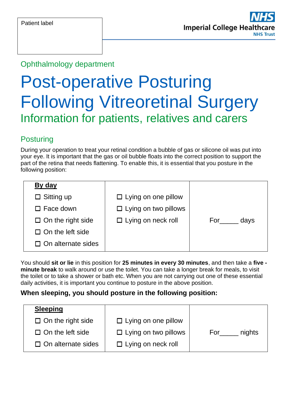#### Ophthalmology department

# Post-operative Posturing Following Vitreoretinal Surgery Information for patients, relatives and carers

#### **Posturing**

During your operation to treat your retinal condition a bubble of gas or silicone oil was put into your eye. It is important that the gas or oil bubble floats into the correct position to support the part of the retina that needs flattening. To enable this, it is essential that you posture in the following position:

| By day                    |                             |             |
|---------------------------|-----------------------------|-------------|
| $\Box$ Sitting up         | $\Box$ Lying on one pillow  |             |
| $\Box$ Face down          | $\Box$ Lying on two pillows |             |
| $\Box$ On the right side  | $\Box$ Lying on neck roll   | For<br>days |
| $\Box$ On the left side   |                             |             |
| $\Box$ On alternate sides |                             |             |

You should **sit or lie** in this position for **25 minutes in every 30 minutes**, and then take a **five minute break** to walk around or use the toilet. You can take a longer break for meals, to visit the toilet or to take a shower or bath etc. When you are not carrying out one of these essential daily activities, it is important you continue to posture in the above position.

#### **When sleeping, you should posture in the following position:**

| <b>Sleeping</b>           |                             |               |
|---------------------------|-----------------------------|---------------|
| $\Box$ On the right side  | $\Box$ Lying on one pillow  |               |
| $\Box$ On the left side   | $\Box$ Lying on two pillows | nights<br>For |
| $\Box$ On alternate sides | $\Box$ Lying on neck roll   |               |